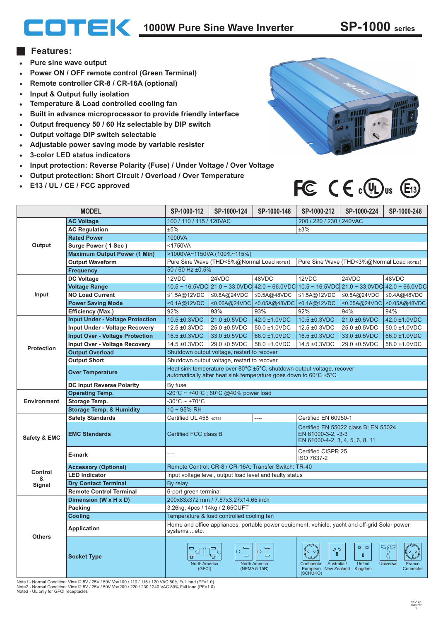## **1000W Pure Sine Wave Inverter SP-1000 series**

## **Features:**

- **Pure sine wave output**  $\bullet$  .
- **Power ON / OFF remote control (Green Terminal)**
- **Remote controller CR-8 / CR-16A (optional)**  $\bullet$
- **Input & Output fully isolation**  $\bullet$
- **Temperature & Load controlled cooling fan**  $\bullet$
- **Built in advance microprocessor to provide friendly interface**  $\bullet$
- **Output frequency 50 / 60 Hz selectable by DIP switch**  $\bullet$
- **Output voltage DIP switch selectable**  $\bullet$
- **Adjustable power saving mode by variable resister**  $\bullet$
- **3-color LED status indicators**  $\bullet$
- **Input protection: Reverse Polarity (Fuse) / Under Voltage / Over Voltage**  $\bullet$
- **Output protection: Short Circuit / Overload / Over Temperature**
- **E13 / UL / CE / FCC approved**



## FC  $C \in \mathbb{C}(\mathbb{R})$ us  $\mathbb{E}_1$ 3

| <b>MODEL</b>       |                                         | SP-1000-112                                                                                                                                                                                                                                                                                                                                                        | SP-1000-124  | SP-1000-148                           | SP-1000-212                                                                                   | SP-1000-224                                                                                 | SP-1000-248               |
|--------------------|-----------------------------------------|--------------------------------------------------------------------------------------------------------------------------------------------------------------------------------------------------------------------------------------------------------------------------------------------------------------------------------------------------------------------|--------------|---------------------------------------|-----------------------------------------------------------------------------------------------|---------------------------------------------------------------------------------------------|---------------------------|
| Output             | <b>AC Voltage</b>                       | 100 / 110 / 115 / 120VAC                                                                                                                                                                                                                                                                                                                                           |              |                                       | 200 / 220 / 230 / 240VAC                                                                      |                                                                                             |                           |
|                    | <b>AC Regulation</b>                    | ±5%<br>±3%                                                                                                                                                                                                                                                                                                                                                         |              |                                       |                                                                                               |                                                                                             |                           |
|                    | <b>Rated Power</b>                      | 1000VA                                                                                                                                                                                                                                                                                                                                                             |              |                                       |                                                                                               |                                                                                             |                           |
|                    | Surge Power (1 Sec)                     | <1750VA                                                                                                                                                                                                                                                                                                                                                            |              |                                       |                                                                                               |                                                                                             |                           |
|                    | <b>Maximum Output Power (1 Min)</b>     | >1000VA~1150VA (100%~115%)                                                                                                                                                                                                                                                                                                                                         |              |                                       |                                                                                               |                                                                                             |                           |
|                    | <b>Output Waveform</b>                  | Pure Sine Wave (THD<5%@Normal Load NOTE1)<br>Pure Sine Wave (THD<3%@Normal Load NOTE2)                                                                                                                                                                                                                                                                             |              |                                       |                                                                                               |                                                                                             |                           |
|                    | <b>Frequency</b>                        | 50 / 60 Hz ±0.5%                                                                                                                                                                                                                                                                                                                                                   |              |                                       |                                                                                               |                                                                                             |                           |
| Input              | <b>DC Voltage</b>                       | 12VDC                                                                                                                                                                                                                                                                                                                                                              | 24VDC        | 48VDC                                 | 12VDC                                                                                         | 24VDC                                                                                       | 48VDC                     |
|                    | <b>Voltage Range</b>                    |                                                                                                                                                                                                                                                                                                                                                                    |              |                                       |                                                                                               | $10.5$ ~ 16.5VDC 21.0 ~ 33.0VDC 42.0 ~ 66.0VDC 10.5 ~ 16.5VDC 21.0 ~ 33.0VDC 42.0 ~ 66.0VDC |                           |
|                    | <b>NO Load Current</b>                  | ≤1.5A@12VDC                                                                                                                                                                                                                                                                                                                                                        | ≤0.8A@24VDC  | ≤0.5A@48VDC                           | ≤1.5A@12VDC                                                                                   | ≤0.8A@24VDC                                                                                 | ≤0.4A@48VDC               |
|                    | <b>Power Saving Mode</b>                | <0.1A@12VDC                                                                                                                                                                                                                                                                                                                                                        |              | <0.06A@24VDC <0.05A@48VDC <0.1A@12VDC |                                                                                               |                                                                                             | <0.05A@24VDC <0.05A@48VDC |
|                    | <b>Efficiency (Max.)</b>                | 92%                                                                                                                                                                                                                                                                                                                                                                | 93%          | 93%                                   | 92%                                                                                           | 94%                                                                                         | 94%                       |
| <b>Protection</b>  | <b>Input Under - Voltage Protection</b> | 10.5 ±0.3VDC                                                                                                                                                                                                                                                                                                                                                       | 21.0 ±0.5VDC | 42.0 ±1.0VDC                          | 10.5 ±0.3VDC                                                                                  | 21.0 ±0.5VDC                                                                                | 42.0 ±1.0VDC              |
|                    | <b>Input Under - Voltage Recovery</b>   | 12.5 ±0.3VDC                                                                                                                                                                                                                                                                                                                                                       | 25.0 ±0.5VDC | 50.0 ±1.0VDC                          | 12.5 ±0.3VDC                                                                                  | 25.0 ±0.5VDC                                                                                | 50.0 ±1.0VDC              |
|                    | <b>Input Over - Voltage Protection</b>  | 16.5 ±0.3VDC                                                                                                                                                                                                                                                                                                                                                       | 33.0 ±0.5VDC | 66.0 ±1.0VDC                          | 16.5 ±0.3VDC                                                                                  | 33.0 ±0.5VDC                                                                                | 66.0 ±1.0VDC              |
|                    | <b>Input Over - Voltage Recovery</b>    | 14.5 ±0.3VDC                                                                                                                                                                                                                                                                                                                                                       | 29.0 ±0.5VDC | 58.0 ±1.0VDC                          | 14.5 ±0.3VDC                                                                                  | 29.0 ±0.5VDC                                                                                | 58.0 ±1.0VDC              |
|                    | <b>Output Overload</b>                  | Shutdown output voltage, restart to recover                                                                                                                                                                                                                                                                                                                        |              |                                       |                                                                                               |                                                                                             |                           |
|                    | <b>Output Short</b>                     | Shutdown output voltage, restart to recover                                                                                                                                                                                                                                                                                                                        |              |                                       |                                                                                               |                                                                                             |                           |
|                    | <b>Over Temperature</b>                 | Heat sink temperature over 80°C ±5°C, shutdown output voltage, recover<br>automatically after heat sink temperature goes down to $60^{\circ}$ C $\pm 5^{\circ}$ C                                                                                                                                                                                                  |              |                                       |                                                                                               |                                                                                             |                           |
|                    | <b>DC Input Reverse Polarity</b>        | By fuse                                                                                                                                                                                                                                                                                                                                                            |              |                                       |                                                                                               |                                                                                             |                           |
| <b>Environment</b> | <b>Operating Temp.</b>                  | $-20^{\circ}$ C ~ +40 $^{\circ}$ C ; 60 $^{\circ}$ C @40% power load                                                                                                                                                                                                                                                                                               |              |                                       |                                                                                               |                                                                                             |                           |
|                    | Storage Temp.                           | $-30^{\circ}$ C ~ +70 $^{\circ}$ C                                                                                                                                                                                                                                                                                                                                 |              |                                       |                                                                                               |                                                                                             |                           |
|                    | <b>Storage Temp. &amp; Humidity</b>     | $10 - 95%$ RH                                                                                                                                                                                                                                                                                                                                                      |              |                                       |                                                                                               |                                                                                             |                           |
| Safety & EMC       | <b>Safety Standards</b>                 | Certified UL 458 NOTE3                                                                                                                                                                                                                                                                                                                                             |              |                                       | Certified EN 60950-1                                                                          |                                                                                             |                           |
|                    | <b>EMC Standards</b>                    | Certified FCC class B                                                                                                                                                                                                                                                                                                                                              |              |                                       | Certified EN 55022 class B: EN 55024<br>EN 61000-3-2, -3-3<br>EN 61000-4-2, 3, 4, 5, 6, 8, 11 |                                                                                             |                           |
|                    | E-mark                                  | ----                                                                                                                                                                                                                                                                                                                                                               |              |                                       | Certified CISPR 25<br>ISO 7637-2                                                              |                                                                                             |                           |
|                    | <b>Accessory (Optional)</b>             | Remote Control: CR-8 / CR-16A; Transfer Switch: TR-40                                                                                                                                                                                                                                                                                                              |              |                                       |                                                                                               |                                                                                             |                           |
| Control<br>&       | <b>LED Indicator</b>                    | Input voltage level, output load level and faulty status                                                                                                                                                                                                                                                                                                           |              |                                       |                                                                                               |                                                                                             |                           |
| Signal             | <b>Dry Contact Terminal</b>             | By relay                                                                                                                                                                                                                                                                                                                                                           |              |                                       |                                                                                               |                                                                                             |                           |
|                    | <b>Remote Control Terminal</b>          | 6-port green terminal                                                                                                                                                                                                                                                                                                                                              |              |                                       |                                                                                               |                                                                                             |                           |
| <b>Others</b>      | Dimension (W x H x D)                   | 200x83x372 mm / 7.87x3.27x14.65 inch                                                                                                                                                                                                                                                                                                                               |              |                                       |                                                                                               |                                                                                             |                           |
|                    | Packing                                 | 3.26kg; 4pcs / 14kg / 2.65CUFT                                                                                                                                                                                                                                                                                                                                     |              |                                       |                                                                                               |                                                                                             |                           |
|                    | <b>Cooling</b>                          | Temperature & load controlled cooling fan                                                                                                                                                                                                                                                                                                                          |              |                                       |                                                                                               |                                                                                             |                           |
|                    | <b>Application</b>                      | Home and office appliances, portable power equipment, vehicle, yacht and off-grid Solar power<br>systems etc.                                                                                                                                                                                                                                                      |              |                                       |                                                                                               |                                                                                             |                           |
|                    | <b>Socket Type</b>                      | dge<br>$\Box \quad \Box$<br>$\qquad \qquad \qquad \qquad$<br>$\qquad \qquad \qquad \qquad$<br>Q<br>$\Box$<br>$\Box$<br>O,<br>$\Box$<br>$\qquad \qquad \qquad \Box$<br>$\qquad \qquad \qquad \Box$<br>United<br>Continental Australia /<br>Universal<br><b>North America</b><br>North America<br>(NEMA 5-15R)<br>European New Zealand Kingdom<br>(GFCI)<br>(SCHUKO) |              |                                       |                                                                                               |                                                                                             | France<br>Connector       |

Note1 - Normal Condition: Vin=12.5V / 25V / 50V Vo=100 / 110 / 115 / 120 VAC 80% Full load (PF=1.0) Note2 - Normal Condition: Vin=12.5V / 25V / 50V Vo=200 / 220 / 230 / 240 VAC 80% Full load (PF=1.0) Note3 - UL only for GFCI receptacles